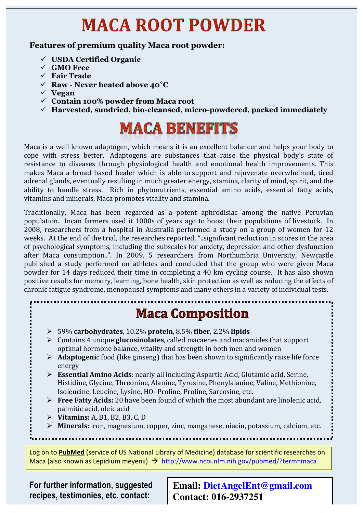# **MACA ROOT POWDER**

#### **Features of premium quality Maca root powder:**

- ! **USDA Certified Organic**
- ! **GMO Free**
- ! **Fair Trade**
- ! **Raw - Never heated above 40°C**
- ! **Vegan**
- ! **Contain 100% powder from Maca root**
- ! **Harvested, sundried, bio-cleansed, micro-powdered, packed immediately**

## **MACA BENEFITS**

Maca is a well known adaptogen, which means it is an excellent balancer and helps your body to cope with stress better. Adaptogens are substances that raise the physical body's state of resistance to diseases through physiological health and emotional health improvements. This makes Maca a broad based healer which is able to support and rejuvenate overwhelmed, tired adrenal glands, eventually resulting in much greater energy, stamina, clarity of mind, spirit, and the ability to handle stress. Rich in phytonutrients, essential amino acids, essential fatty acids, vitamins and minerals, Maca promotes vitality and stamina.

Traditionally, Maca has been regarded as a potent aphrodisiac among the native Peruvian population. Incan farmers used it 1000s of years ago to boost their populations of livestock. In 2008, researchers from a hospital in Australia performed a study on a group of women for 12 weeks. At the end of the trial, the researches reported, "..significant reduction in scores in the area of psychological symptoms, including the subscales for anxiety, depression and other dysfunction after Maca consumption..". In 2009, 5 researchers from Northumbria University, Newcastle published a study performed on athletes and concluded that the group who were given Maca powder for 14 days reduced their time in completing a 40 km cycling course. It has also shown positive results for memory, learning, bone health, skin protection as well as reducing the effects of chronic fatigue syndrome, menopausal symptoms and many others in a variety of individual tests.

### **Maca Composition**

- $\geq 59\%$  carbohydrates, 10.2% protein, 8.5% fiber, 2.2% lipids
- $\triangleright$  Contains 4 unique **glucosinolates**, called macaenes and macamides that support optimal hormone balance, vitality and strength in both men and women
- $\triangleright$  **Adaptogeni**c food (like ginseng) that has been shown to significantly raise life force energy!
- $\triangleright$  **Essential Amino Acids**: nearly all including Aspartic Acid, Glutamic acid, Serine, Histidine, Glycine, Threonine, Alanine, Tyrosine, Phenylalanine, Valine, Methionine, Isoleucine, Leucine, Lysine, HO- Proline, Proline, Sarcosine, etc.
- $\triangleright$  **Free Fatty Acids:** 20 have been found of which the most abundant are linolenic acid. palmitic acid, oleic acid
- **EXECUTE:** A, B1, B2, B3, C, D
- $\triangleright$  **Minerals:** iron, magnesium, copper, zinc, manganese, niacin, potassium, calcium, etc.

Log on to **PubMed** (service of US National Library of Medicine) database for scientific researches on Maca (also known as Lepidium meyenii)  $\rightarrow$  http://www.ncbi.nlm.nih.gov/pubmed/?term=maca

**For further information, suggested recipes, testimonies, etc. contact:** 

**Email: DietAngelEnt@gmail.com Contact: 016-2937251**